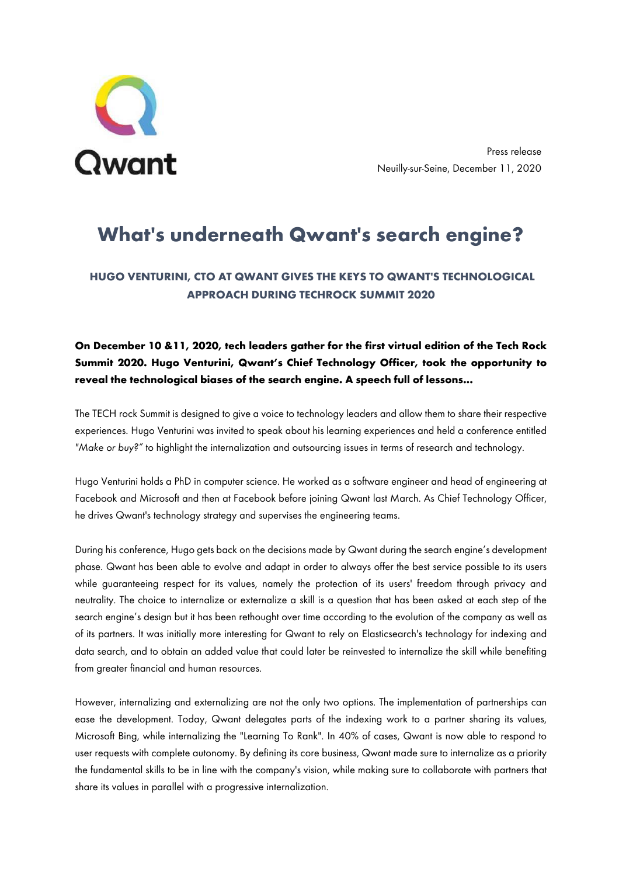

Press release Neuilly-sur-Seine, December 11, 2020

# **What's underneath Qwant's search engine?**

## **HUGO VENTURINI, CTO AT QWANT GIVES THE KEYS TO QWANT'S TECHNOLOGICAL APPROACH DURING TECHROCK SUMMIT 2020**

## **On December 10 &11, 2020, tech leaders gather for the first virtual edition of the Tech Rock Summit 2020. Hugo Venturini, Qwant's Chief Technology Officer, took the opportunity to reveal the technological biases of the search engine. A speech full of lessons...**

The TECH rock Summit is designed to give a voice to technology leaders and allow them to share their respective experiences. Hugo Venturini was invited to speak about his learning experiences and held a conference entitled *"Make or buy?"* to highlight the internalization and outsourcing issues in terms of research and technology.

Hugo Venturini holds a PhD in computer science. He worked as a software engineer and head of engineering at Facebook and Microsoft and then at Facebook before joining Qwant last March. As Chief Technology Officer, he drives Qwant's technology strategy and supervises the engineering teams.

During his conference, Hugo gets back on the decisions made by Qwant during the search engine's development phase. Qwant has been able to evolve and adapt in order to always offer the best service possible to its users while guaranteeing respect for its values, namely the protection of its users' freedom through privacy and neutrality. The choice to internalize or externalize a skill is a question that has been asked at each step of the search engine's design but it has been rethought over time according to the evolution of the company as well as of its partners. It was initially more interesting for Qwant to rely on Elasticsearch's technology for indexing and data search, and to obtain an added value that could later be reinvested to internalize the skill while benefiting from greater financial and human resources.

However, internalizing and externalizing are not the only two options. The implementation of partnerships can ease the development. Today, Qwant delegates parts of the indexing work to a partner sharing its values, Microsoft Bing, while internalizing the "Learning To Rank". In 40% of cases, Qwant is now able to respond to user requests with complete autonomy. By defining its core business, Qwant made sure to internalize as a priority the fundamental skills to be in line with the company's vision, while making sure to collaborate with partners that share its values in parallel with a progressive internalization.